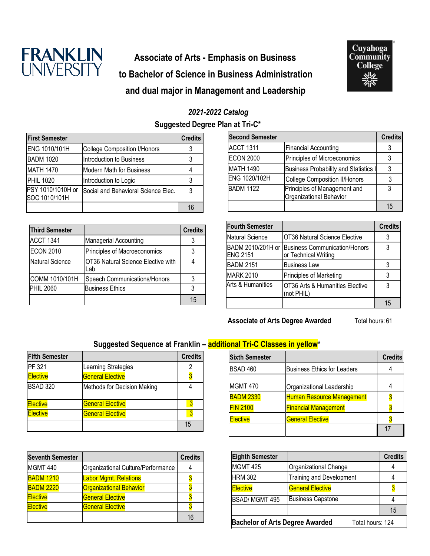

# **Associate of Arts - Emphasis on Business to Bachelor of Science in Business Administration and dual major in Management and Leadership**



### *2021-2022 Catalog*

**Suggested Degree Plan at Tri-C\***

| <b>First Semester</b>              |                                     | <b>Credits</b> |
|------------------------------------|-------------------------------------|----------------|
| ENG 1010/101H                      | <b>College Composition I/Honors</b> |                |
| <b>BADM 1020</b>                   | Introduction to Business            |                |
| <b>MATH 1470</b>                   | <b>Modern Math for Business</b>     |                |
| <b>PHIL 1020</b>                   | Introduction to Logic               |                |
| PSY 1010/1010H or<br>SOC 1010/101H | Social and Behavioral Science Elec. | 3              |
|                                    |                                     | 16             |

| <b>Third Semester</b> |                                           | <b>Credits</b> |
|-----------------------|-------------------------------------------|----------------|
| <b>ACCT 1341</b>      | Managerial Accounting                     | 3              |
| <b>ECON 2010</b>      | Principles of Macroeconomics              | 3              |
| Natural Science       | OT36 Natural Science Elective with<br>Lab |                |
| COMM 1010/101H        | Speech Communications/Honors              | 3              |
| <b>PHIL 2060</b>      | <b>Business Ethics</b>                    | 3              |
|                       |                                           | 15             |

| <b>Second Semester</b> |                                                         | <b>Credits</b> |
|------------------------|---------------------------------------------------------|----------------|
| <b>ACCT 1311</b>       | <b>Financial Accounting</b>                             |                |
| <b>ECON 2000</b>       | Principles of Microeconomics                            |                |
| <b>MATH 1490</b>       | <b>Business Probability and Statistics I</b>            |                |
| ENG 1020/102H          | <b>College Composition II/Honors</b>                    |                |
| <b>BADM 1122</b>       | Principles of Management and<br>Organizational Behavior | 3              |
|                        |                                                         |                |

| <b>Fourth Semester</b>               |                                                              | <b>Credits</b> |
|--------------------------------------|--------------------------------------------------------------|----------------|
| <b>Natural Science</b>               | OT36 Natural Science Elective                                | 3              |
| BADM 2010/201H or<br><b>ENG 2151</b> | <b>Business Communication/Honors</b><br>or Technical Writing | 3              |
| <b>BADM 2151</b>                     | <b>Business Law</b>                                          |                |
| <b>MARK 2010</b>                     | Principles of Marketing                                      |                |
| Arts & Humanities                    | OT36 Arts & Humanities Elective<br>(not PHIL)                | 3              |
|                                      |                                                              | 15             |

**Associate of Arts Degree Awarded** Total hours: 61

### **Suggested Sequence at Franklin – additional Tri-C Classes in yellow\***

| <b>Fifth Semester</b> |                             | <b>Credits</b> |
|-----------------------|-----------------------------|----------------|
| PF 321                | Learning Strategies         |                |
| <b>Elective</b>       | <b>General Elective</b>     |                |
| <b>BSAD 320</b>       | Methods for Decision Making |                |
| <b>Elective</b>       | <b>General Elective</b>     |                |
| Elective              | <b>General Elective</b>     |                |
|                       |                             | 15             |

| <b>Seventh Semester</b> |                                    | <b>Credits</b> |
|-------------------------|------------------------------------|----------------|
| <b>MGMT 440</b>         | Organizational Culture/Performance |                |
| <b>BADM 1210</b>        | <b>Labor Mgmt. Relations</b>       |                |
| <b>BADM 2220</b>        | <b>Organizational Behavior</b>     |                |
| <b>Elective</b>         | <b>General Elective</b>            |                |
| <b>Elective</b>         | <b>General Elective</b>            |                |
|                         |                                    |                |

| <b>Sixth Semester</b> |                                    | <b>Credits</b> |
|-----------------------|------------------------------------|----------------|
| <b>BSAD 460</b>       | <b>Business Ethics for Leaders</b> |                |
| MGMT 470              | Organizational Leadership          |                |
| <b>BADM 2330</b>      | <b>Human Resource Management</b>   |                |
| <b>FIN 2100</b>       | <b>Financial Management</b>        |                |
| <b>Elective</b>       | <b>General Elective</b>            |                |
|                       |                                    |                |

| <b>Eighth Semester</b>                                     |                                 | <b>Credits</b> |
|------------------------------------------------------------|---------------------------------|----------------|
| <b>MGMT 425</b>                                            | Organizational Change           |                |
| <b>HRM 302</b>                                             | <b>Training and Development</b> |                |
| <b>Elective</b>                                            | <b>General Elective</b>         |                |
| <b>BSAD/ MGMT 495</b>                                      | <b>Business Capstone</b>        |                |
|                                                            |                                 | 15             |
| <b>Bachelor of Arts Degree Awarded</b><br>Total hours: 124 |                                 |                |